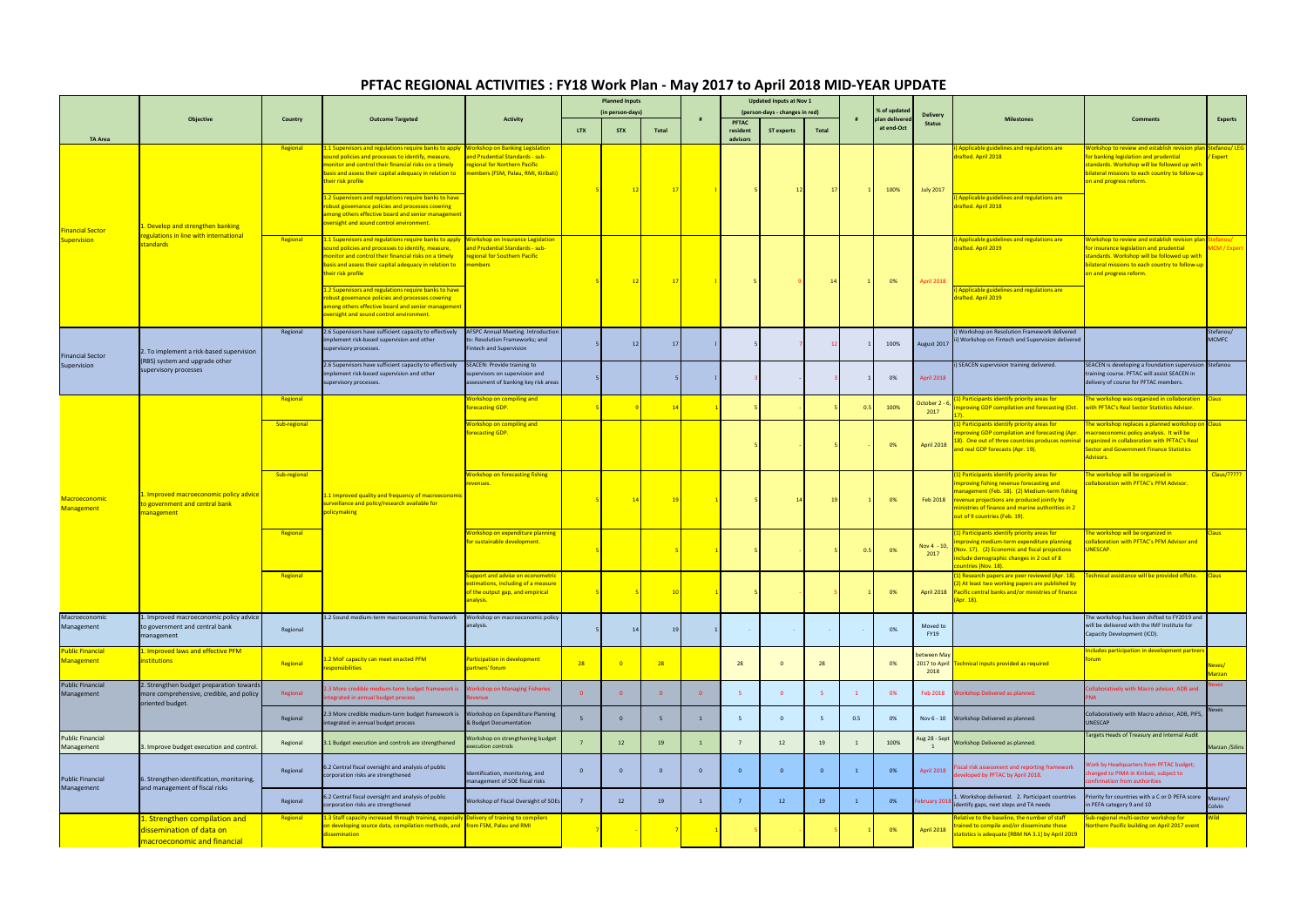|                                                          | Objective                                                                                                | Country      | <b>Outcome Targeted</b>                                                                                                                                                                                                                                                                                                                                                                                                                                                                         | <b>Activity</b>                                                                                                        | <b>Planned Inputs</b> |                |       | <b>Updated Inputs at Nov 1</b> |                                                |                   |                 |              |                                |                                    |                                                                                                                                                                                                                                                                                          |                                                                                                                                                                                                                                    |                                |
|----------------------------------------------------------|----------------------------------------------------------------------------------------------------------|--------------|-------------------------------------------------------------------------------------------------------------------------------------------------------------------------------------------------------------------------------------------------------------------------------------------------------------------------------------------------------------------------------------------------------------------------------------------------------------------------------------------------|------------------------------------------------------------------------------------------------------------------------|-----------------------|----------------|-------|--------------------------------|------------------------------------------------|-------------------|-----------------|--------------|--------------------------------|------------------------------------|------------------------------------------------------------------------------------------------------------------------------------------------------------------------------------------------------------------------------------------------------------------------------------------|------------------------------------------------------------------------------------------------------------------------------------------------------------------------------------------------------------------------------------|--------------------------------|
|                                                          |                                                                                                          |              |                                                                                                                                                                                                                                                                                                                                                                                                                                                                                                 |                                                                                                                        | (in person-days)      |                |       | #                              | (person-days - changes in red)<br><b>PFTAC</b> |                   |                 |              | % of updated<br>plan delivered | <b>Delivery</b>                    | <b>Milestones</b>                                                                                                                                                                                                                                                                        | <b>Comments</b>                                                                                                                                                                                                                    | <b>Experts</b>                 |
|                                                          |                                                                                                          |              |                                                                                                                                                                                                                                                                                                                                                                                                                                                                                                 |                                                                                                                        | LTX                   | <b>STX</b>     | Total |                                | resident                                       | <b>ST experts</b> | Total           |              | at end-Oct                     | <b>Status</b>                      |                                                                                                                                                                                                                                                                                          |                                                                                                                                                                                                                                    |                                |
| <b>TA Area</b><br><b>Financial Sector</b><br>Supervision | 1. Develop and strengthen banking<br>egulations in line with international<br>standards                  | Regional     | L.1 Supervisors and regulations require banks to apply Workshop on Banking Legislation<br>ound policies and processes to identify, measure,<br>monitor and control their financial risks on a timely<br>pasis and assess their capital adequacy in relation to<br>heir risk profile<br>.2 Supervisors and regulations require banks to have<br>obust governance policies and processes covering<br>mong others effective board and senior management<br>versight and sound control environment. | and Prudential Standards - sub-<br>regional for Northern Pacific<br>members (FSM, Palau, RMI, Kiribati)                |                       |                | 17    |                                | advisors                                       |                   | 17 <sup>1</sup> |              | 100%                           | <b>July 2017</b>                   | ) Applicable guidelines and regulations are<br>drafted. April 2018<br>) Applicable guidelines and regulations are<br>drafted. April 2018                                                                                                                                                 | Vorkshop to review and establish revision plan Stefanou/LEG<br>or banking legislation and prudential<br>standards. Workshop will be followed up with<br>illateral missions to each country to follow-up<br>in and progress reform. | Expert                         |
|                                                          |                                                                                                          | Regional     | 1.1 Supervisors and regulations require banks to apply<br>ound policies and processes to identify, measure,<br>nonitor and control their financial risks on a timely<br>asis and assess their capital adequacy in relation to<br>heir risk profile<br>2 Supervisors and regulations require banks to have<br>obust governance policies and processes covering<br>mong others effective board and senior management<br>versight and sound control environment.                                   | <b>Workshop on Insurance Legislatio</b><br>and Prudential Standards - sub-<br>regional for Southern Pacific<br>members |                       |                | 17    |                                |                                                |                   | 14              |              | 0%                             | <b>April 2018</b>                  | i) Applicable guidelines and regulations are<br>drafted. April 2019<br>) Applicable guidelines and regulations are<br>drafted. April 2019                                                                                                                                                | Vorkshop to review and establish revision pla<br>or insurance legislation and prudential<br>standards. Workshop will be followed up with<br>illateral missions to each country to follow-up<br>in and progress reform.             | <b>ACM / Expert</b>            |
| <b>Financial Sector</b><br>Supervision                   | 2. To implement a risk-based supervision<br>(RBS) system and upgrade other<br>supervisory processes      | Regional     | 2.6 Supervisors have sufficient capacity to effectively<br>mplement risk-based supervision and other<br>upervisory processes.                                                                                                                                                                                                                                                                                                                                                                   | <b>AFSPC Annual Meeting. Introduction</b><br>to: Resolution Frameworks; and<br>Fintech and Supervision                 |                       | 12             | 17    |                                |                                                |                   |                 |              | 100%                           | August 2017                        | i) Workshop on Resolution Framework delivered<br>ii) Workshop on Fintech and Supervision delivered                                                                                                                                                                                       |                                                                                                                                                                                                                                    | Stefanou/<br><b>MCMFC</b>      |
|                                                          |                                                                                                          |              | 2.6 Supervisors have sufficient capacity to effectively<br>mplement risk-based supervision and other<br>upervisory processes.                                                                                                                                                                                                                                                                                                                                                                   | <b>SEACEN: Provide training to</b><br>upervisors on supervision and<br>assessment of banking key risk areas            |                       |                |       |                                |                                                |                   |                 |              | 0%                             | April 2018                         | ) SEACEN supervision training delivered.                                                                                                                                                                                                                                                 | SEACEN is developing a foundation supervision Stefanou<br>training course. PFTAC will assist SEACEN in<br>delivery of course for PFTAC members.                                                                                    |                                |
| <b>Macroeconomic</b><br><b>Management</b>                | . Improved macroeconomic policy advice<br>o government and central bank<br>nanagement                    | Regional     | 1.1 Improved quality and frequency of macroeconomic<br>urveillance and policy/research available for<br>policymaking                                                                                                                                                                                                                                                                                                                                                                            | Vorkshop on compiling and<br>orecasting GDP.                                                                           |                       | - 91           | 14    |                                |                                                |                   |                 |              | 100%                           | October 2 -<br>2017                | () Participants identify priority areas for<br><b>Inproving GDP compilation and forecasting (Oct.</b>                                                                                                                                                                                    | he workshop was organized in collaboration<br>with PFTAC's Real Sector Statistics Advisor.                                                                                                                                         | Claus                          |
|                                                          |                                                                                                          | Sub-regional |                                                                                                                                                                                                                                                                                                                                                                                                                                                                                                 | orkshop on compiling and<br>orecasting GDP.                                                                            |                       |                |       |                                |                                                |                   |                 |              | 0%                             | April 2018                         | (1) Participants identify priority areas for<br><b>Improving GDP compilation and forecasting (Apr.</b><br>18). One out of three countries produces nominal<br>and real GDP forecasts (Apr. 19).                                                                                          | he workshop replaces a planned workshop on<br>nacroeconomic policy analysis. It will be<br>organized in collaboration with PFTAC's Real<br><b>Sector and Government Finance Statistics</b><br>dvisors.                             | <b>Claus</b>                   |
|                                                          |                                                                                                          | Sub-regional |                                                                                                                                                                                                                                                                                                                                                                                                                                                                                                 | <b>Norkshop on forecasting fishing</b><br>evenues.                                                                     |                       |                |       |                                |                                                |                   | 19              |              | 0%                             |                                    | (1) Participants identify priority areas for<br>improving fishing revenue forecasting and<br>management (Feb. 18). (2) Medium-term fishing<br>Feb 2018 revenue projections are produced jointly by<br>ministries of finance and marine authorities in 2<br>out of 9 countries (Feb. 19). | he workshop will be organized in<br>ollaboration with PFTAC's PFM Advisor.                                                                                                                                                         | Claus/?????                    |
|                                                          |                                                                                                          | Regional     |                                                                                                                                                                                                                                                                                                                                                                                                                                                                                                 | Vorkshop on expenditure planning<br>or sustainable development.                                                        |                       |                |       |                                |                                                |                   |                 |              | 0%                             | Nov $4 - 10$ ,<br>2017             | (1) Participants identify priority areas for<br>improving medium-term expenditure planning<br>(Nov. 17). (2) Economic and fiscal projections<br>include demographic changes in 2 out of 8<br>ountries (Nov. 18).                                                                         | he workshop will be organized in<br>ollaboration with PFTAC's PFM Advisor and<br><b>JNESCAP.</b>                                                                                                                                   | laus l                         |
|                                                          |                                                                                                          | Regional     |                                                                                                                                                                                                                                                                                                                                                                                                                                                                                                 | upport and advise on econometric<br>ations including of a measure<br>of the output gap, and empirical<br>analysis.     |                       |                |       |                                |                                                |                   |                 |              | 0%                             |                                    | (1) Research papers are peer reviewed (Apr. 18). Technical assistance will be provided offsite.<br>2) At least two working papers are published by<br>April 2018 Pacific central banks and/or ministries of finance<br>(Apr. 18).                                                        |                                                                                                                                                                                                                                    | <b>Claus</b>                   |
| Macroeconomic<br>Management                              | 1. Improved macroeconomic policy advice<br>to government and central bank<br>management                  | Regional     | 2 Sound medium-term macroeconomic framework                                                                                                                                                                                                                                                                                                                                                                                                                                                     | Workshop on macroeconomic policy<br>analysis.                                                                          |                       | 14             | 19    |                                |                                                |                   |                 |              | 0%                             | Moved to<br><b>FY19</b>            |                                                                                                                                                                                                                                                                                          | The workshop has been shifted to FY2019 and<br>will be delivered with the IMF Institute for<br>Capacity Development (ICD).                                                                                                         |                                |
| <b>Public Financial</b><br><b>Management</b>             | . Improved laws and effective PFM<br>nstitutions                                                         | Regional     | 2 MoF capacity can meet enacted PFM<br>esponsibilities                                                                                                                                                                                                                                                                                                                                                                                                                                          | articipation in development<br>partners' forum                                                                         | 28                    |                | 28    |                                | 28                                             | $\Omega$          | 28              |              | 0%                             | etween Ma<br>2017 to April<br>2018 | echnical inputs provided as required                                                                                                                                                                                                                                                     | ncludes participation in development partners<br>orum                                                                                                                                                                              | <u>leves/</u><br><b>Marzan</b> |
| <b>Public Financial</b><br>Management                    | 2. Strengthen budget preparation towards<br>more comprehensive, credible, and policy<br>oriented budget. | Regional     | 3 More credible medium-term budget framework is<br>tegrated in annual budget process                                                                                                                                                                                                                                                                                                                                                                                                            | <b>Orkshop on Managing Fisheries</b>                                                                                   |                       | $\overline{0}$ |       | $\overline{\mathbf{0}}$        |                                                | $\overline{0}$    |                 | $\mathbf{1}$ | 0%                             | Feb 2018                           | <b>Norkshop Delivered as planned.</b>                                                                                                                                                                                                                                                    | llaboratively with Macro advisor, ADB and                                                                                                                                                                                          | eves                           |
|                                                          |                                                                                                          | Regional     | .3 More credible medium-term budget framework is<br>itegrated in annual budget process                                                                                                                                                                                                                                                                                                                                                                                                          | Workshop on Expenditure Planning<br>& Budget Documentation                                                             |                       | $\overline{0}$ |       | $\mathbf{1}$                   |                                                | $\overline{0}$    |                 | 0.5          | 0%                             | Nov 6 - 10                         | Workshop Delivered as planned.                                                                                                                                                                                                                                                           | Collaboratively with Macro advisor, ADB, PIFS,<br><b>UNESCAP</b>                                                                                                                                                                   | Neves <b>New Street</b>        |
| <b>Public Financial</b><br>Management                    | 3. Improve budget execution and control                                                                  | Regional     | 1.1 Budget execution and controls are strengthened                                                                                                                                                                                                                                                                                                                                                                                                                                              | Norkshop on strengthening budget<br>execution controls                                                                 |                       | 12             | 19    | $\mathbf{1}$                   |                                                | 12                | 19              |              | 100%                           | Aug 28 - Sept                      | Workshop Delivered as planned.                                                                                                                                                                                                                                                           | Targets Heads of Treasury and Internal Audit                                                                                                                                                                                       | Marzan /Silins                 |
| <b>Public Financial</b><br>Management                    | 6. Strengthen identification, monitoring,<br>and management of fiscal risks                              | Regional     | .2 Central fiscal oversight and analysis of public<br>corporation risks are strengthened                                                                                                                                                                                                                                                                                                                                                                                                        | Identification, monitoring, and<br>nanagement of SOE fiscal risks                                                      |                       | $\overline{0}$ |       | $\overline{0}$                 |                                                | $\overline{0}$    |                 |              | 0%                             | April 2018                         | iscal risk assessment and reporting framework<br>leveloped by PFTAC by April 2018.                                                                                                                                                                                                       | <b>Nork by Headquarters from PFTAC budget;</b><br>changed to PIMA in Kiribati, subject to<br>nfirmation from authorities                                                                                                           |                                |
|                                                          |                                                                                                          | Regional     | .2 Central fiscal oversight and analysis of public<br>orporation risks are strengthened                                                                                                                                                                                                                                                                                                                                                                                                         | Workshop of Fiscal Oversight of SOEs                                                                                   |                       | 12             | 19    | $\mathbf{1}$                   |                                                | 12                | 19              |              | 0%                             | ebruary 201                        | . Workshop delivered. 2. Participant countries<br>identify gaps, next steps and TA needs                                                                                                                                                                                                 | Priority for countries with a C or D PEFA score Marzan/<br>in PEFA category 9 and 10                                                                                                                                               | Colvin                         |
|                                                          | 1. Strengthen compilation and<br>dissemination of data on<br>macroeconomic and financial                 | Regional     | L.3 Staff capacity increased through training, especially Delivery of training to compilers<br>in developing source data, compilation methods, and <b>from FSM, Palau and RMI</b><br>issemination                                                                                                                                                                                                                                                                                               |                                                                                                                        |                       |                |       |                                |                                                |                   |                 |              | 0%                             | April 2018                         | Relative to the baseline, the number of staff<br>trained to compile and/or disseminate these<br>statistics is adequate [RBM NA 3.1] by April 2019                                                                                                                                        | Sub-regional multi-sector workshop for<br><b>Jorthern Pacific building on April 2017 event</b>                                                                                                                                     | <u> Vild</u>                   |

## **PFTAC REGIONAL ACTIVITIES : FY18 Work Plan - May 2017 to April 2018 MID-YEAR UPDATE**